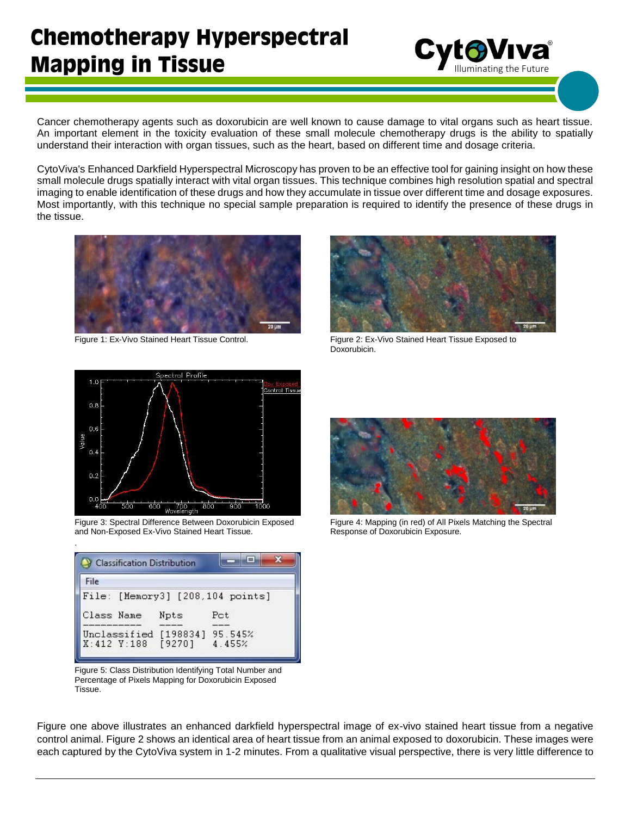## **Chemotherapy Hyperspectral Mapping in Tissue**

**Cyt®Viva**  $I = \frac{1}{2}$  aminating the Future

Cancer chemotherapy agents such as doxorubicin are well known to cause damage to vital organs such as heart tissue. An important element in the toxicity evaluation of these small molecule chemotherapy drugs is the ability to spatially understand their interaction with organ tissues, such as the heart, based on different time and dosage criteria.

CytoViva's Enhanced Darkfield Hyperspectral Microscopy has proven to be an effective tool for gaining insight on how these small molecule drugs spatially interact with vital organ tissues. This technique combines high resolution spatial and spectral imaging to enable identification of these drugs and how they accumulate in tissue over different time and dosage exposures. Most importantly, with this technique no special sample preparation is required to identify the presence of these drugs in the tissue.





Figure 1: Ex-Vivo Stained Heart Tissue Control. Figure 2: Ex-Vivo Stained Heart Tissue Exposed to Doxorubicin.



Figure 3: Spectral Difference Between Doxorubicin Exposed and Non-Exposed Ex-Vivo Stained Heart Tissue.

.

| <b>File</b> |      |                                  |  |
|-------------|------|----------------------------------|--|
|             |      | File: [Memory3] [208,104 points] |  |
| Class Name  | Npts | Pot.                             |  |
|             |      | Unclassified [198834] 95.545%    |  |

Figure 5: Class Distribution Identifying Total Number and Percentage of Pixels Mapping for Doxorubicin Exposed Tissue.



Figure 4: Mapping (in red) of All Pixels Matching the Spectral Response of Doxorubicin Exposure.

Figure one above illustrates an enhanced darkfield hyperspectral image of ex-vivo stained heart tissue from a negative control animal. Figure 2 shows an identical area of heart tissue from an animal exposed to doxorubicin. These images were each captured by the CytoViva system in 1-2 minutes. From a qualitative visual perspective, there is very little difference to